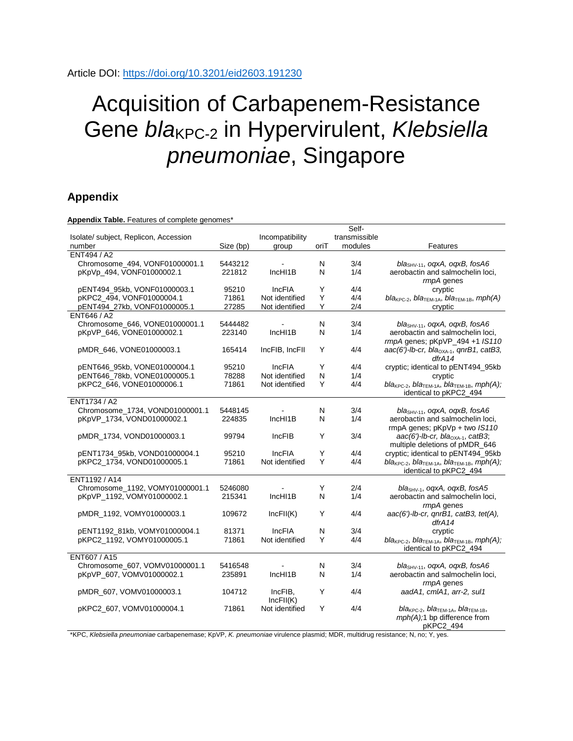## Acquisition of Carbapenem-Resistance Gene *bla*<sub>KPC-2</sub> in Hypervirulent, *Klebsiella pneumoniae*, Singapore

## **Appendix**

**Appendix Table.** Features of complete genomes\*

|                                       |           |                 |      | Self-         |                                                                         |
|---------------------------------------|-----------|-----------------|------|---------------|-------------------------------------------------------------------------|
| Isolate/ subject, Replicon, Accession |           | Incompatibility |      | transmissible |                                                                         |
| number                                | Size (bp) | group           | oriT | modules       | Features                                                                |
| ENT494 / A2                           |           |                 |      |               |                                                                         |
| Chromosome_494, VONF01000001.1        | 5443212   |                 | N    | 3/4           | bla <sub>SHV-11</sub> , ogxA, ogxB, fosA6                               |
| pKpVp 494, VONF01000002.1             | 221812    | IncHI1B         | N    | 1/4           | aerobactin and salmochelin loci,                                        |
|                                       |           |                 |      |               | rmpA genes                                                              |
| pENT494 95kb, VONF01000003.1          | 95210     | <b>IncFIA</b>   | Y    | 4/4           | cryptic                                                                 |
| pKPC2 494, VONF01000004.1             | 71861     | Not identified  | Υ    | 4/4           | $bla_{KPC-2}$ , bla <sub>TEM-1A</sub> , bla <sub>TEM-1B</sub> , mph(A)  |
| pENT494 27kb, VONF01000005.1          | 27285     | Not identified  | Y    | 2/4           | cryptic                                                                 |
| ENT646 / A2                           |           |                 |      |               |                                                                         |
| Chromosome 646, VONE01000001.1        | 5444482   |                 | N    | 3/4           | $blaSHV-11$ , ogxA, ogxB, fosA6                                         |
| pKpVP 646, VONE01000002.1             | 223140    | IncHI1B         | N    | 1/4           | aerobactin and salmochelin loci,                                        |
|                                       |           |                 |      |               | rmpA genes; pKpVP_494 +1 IS110                                          |
| pMDR_646, VONE01000003.1              | 165414    | IncFIB, IncFII  | Y    | 4/4           | aac(6')-lb-cr, bla <sub>OXA-1</sub> , qnrB1, catB3,                     |
|                                       |           |                 |      |               | dfrA14                                                                  |
| pENT646_95kb, VONE01000004.1          | 95210     | <b>IncFIA</b>   | Υ    | 4/4           | cryptic; identical to pENT494_95kb                                      |
| pENT646_78kb, VONE01000005.1          | 78288     | Not identified  | N    | 1/4           | cryptic                                                                 |
| pKPC2_646, VONE01000006.1             | 71861     | Not identified  | Y    | 4/4           | $bla_{KPC-2}$ , bla <sub>TEM-1A</sub> , bla <sub>TEM-1B</sub> , mph(A); |
|                                       |           |                 |      |               | identical to pKPC2_494                                                  |
| ENT1734 / A2                          |           |                 |      |               |                                                                         |
| Chromosome_1734, VOND01000001.1       | 5448145   |                 | N    | 3/4           | $blaSHV-11$ , ogxA, ogxB, fosA6                                         |
| pKpVP_1734, VOND01000002.1            | 224835    | IncHI1B         | N    | 1/4           | aerobactin and salmochelin loci,                                        |
|                                       |           |                 |      |               | rmpA genes; pKpVp + two IS110                                           |
| pMDR 1734, VOND01000003.1             | 99794     | <b>IncFIB</b>   | Y    | 3/4           | $aac(6')$ -lb-cr, bla <sub>OXA-1</sub> , catB3;                         |
|                                       |           |                 |      |               | multiple deletions of pMDR 646                                          |
| pENT1734 95kb, VOND01000004.1         | 95210     | <b>IncFIA</b>   | Y    | 4/4           | cryptic; identical to pENT494_95kb                                      |
| pKPC2 1734, VOND01000005.1            | 71861     | Not identified  | Υ    | 4/4           | $bla_{KPC-2}$ , bla <sub>TEM-1A</sub> , bla <sub>TEM-1B</sub> , mph(A); |
|                                       |           |                 |      |               | identical to pKPC2_494                                                  |
| ENT1192 / A14                         |           |                 |      |               |                                                                         |
| Chromosome_1192, VOMY01000001.1       | 5246080   |                 | Υ    | 2/4           | bla <sub>SHV-1</sub> , oqxA, oqxB, fosA5                                |
| pKpVP_1192, VOMY01000002.1            | 215341    | IncHI1B         | N    | 1/4           | aerobactin and salmochelin loci,                                        |
|                                       |           |                 |      |               | rmpA genes                                                              |
| pMDR_1192, VOMY01000003.1             | 109672    | IncFII(K)       | Υ    | 4/4           | aac(6')-lb-cr, qnrB1, catB3, tet(A),                                    |
|                                       |           |                 |      |               | drA14                                                                   |
| pENT1192 81kb, VOMY01000004.1         | 81371     | <b>IncFIA</b>   | N    | 3/4           | cryptic                                                                 |
| pKPC2_1192, VOMY01000005.1            | 71861     | Not identified  | Υ    | 4/4           | $bla_{KPC-2}$ , bla <sub>TEM-1A</sub> , bla <sub>TEM-1B</sub> , mph(A); |
|                                       |           |                 |      |               | identical to pKPC2_494                                                  |
| ENT607 / A15                          |           |                 |      |               |                                                                         |
| Chromosome 607, VOMV01000001.1        | 5416548   |                 | N    | 3/4           | bla <sub>SHV-11</sub> , ogxA, ogxB, fosA6                               |
| pKpVP 607, VOMV01000002.1             | 235891    | IncHI1B         | N    | 1/4           | aerobactin and salmochelin loci,                                        |
|                                       |           |                 |      |               | rmpA genes                                                              |
| pMDR 607, VOMV01000003.1              | 104712    | IncFIB,         | Y    | 4/4           | aadA1, cmlA1, arr-2, sul1                                               |
|                                       |           | IncFII(K)       |      |               |                                                                         |
| pKPC2 607, VOMV01000004.1             | 71861     | Not identified  | Υ    | 4/4           | $bla_{KPC-2}$ , $bla_{TEM-1A}$ , $bla_{TEM-1B}$ ,                       |
|                                       |           |                 |      |               | $mph(A)$ :1 bp difference from                                          |
|                                       |           |                 |      |               | pKPC2_494                                                               |

\*KPC, *Klebsiella pneumoniae* carbapenemase; KpVP, *K. pneumoniae* virulence plasmid; MDR, multidrug resistance; N, no; Y, yes.